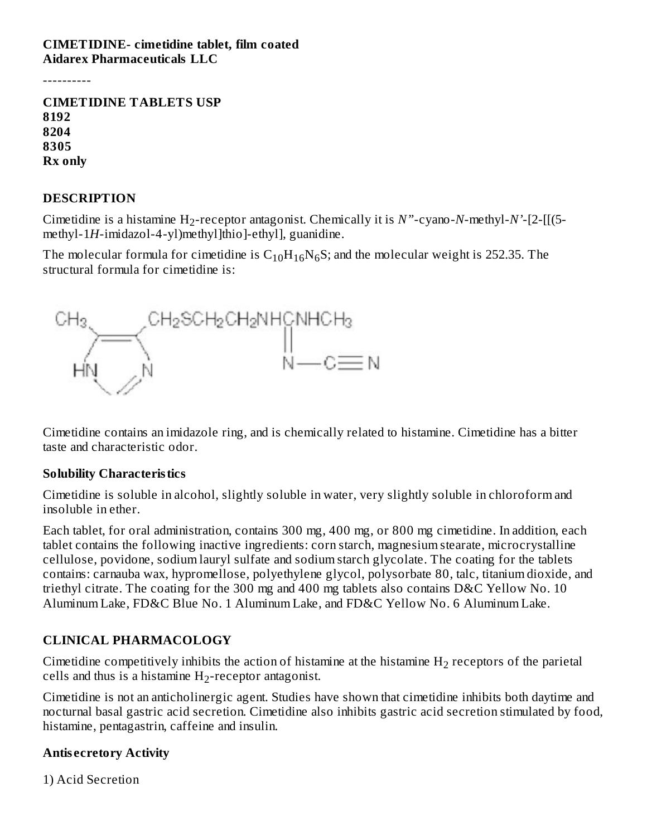#### **CIMETIDINE- cimetidine tablet, film coated Aidarex Pharmaceuticals LLC**

----------

**CIMETIDINE TABLETS USP 8192 8204 8305 Rx only**

#### **DESCRIPTION**

Cimetidine is a histamine  $H_2$ -receptor antagonist. Chemically it is  $N$ "-cyano- $N$ -methyl- $N$ '-[2-[[(5methyl-1*H*-imidazol-4-yl)methyl]thio]-ethyl], guanidine.

The molecular formula for cimetidine is  $\rm C_{10}H_{16}N_{6}S;$  and the molecular weight is 252.35. The structural formula for cimetidine is:



Cimetidine contains an imidazole ring, and is chemically related to histamine. Cimetidine has a bitter taste and characteristic odor.

#### **Solubility Characteristics**

Cimetidine is soluble in alcohol, slightly soluble in water, very slightly soluble in chloroform and insoluble in ether.

Each tablet, for oral administration, contains 300 mg, 400 mg, or 800 mg cimetidine. In addition, each tablet contains the following inactive ingredients: corn starch, magnesium stearate, microcrystalline cellulose, povidone, sodium lauryl sulfate and sodium starch glycolate. The coating for the tablets contains: carnauba wax, hypromellose, polyethylene glycol, polysorbate 80, talc, titanium dioxide, and triethyl citrate. The coating for the 300 mg and 400 mg tablets also contains D&C Yellow No. 10 Aluminum Lake, FD&C Blue No. 1 Aluminum Lake, and FD&C Yellow No. 6 Aluminum Lake.

#### **CLINICAL PHARMACOLOGY**

Cimetidine competitively inhibits the action of histamine at the histamine  $H_2$  receptors of the parietal cells and thus is a histamine  $H_2$ -receptor antagonist.

Cimetidine is not an anticholinergic agent. Studies have shown that cimetidine inhibits both daytime and nocturnal basal gastric acid secretion. Cimetidine also inhibits gastric acid secretion stimulated by food, histamine, pentagastrin, caffeine and insulin.

#### **Antis ecretory Activity**

1) Acid Secretion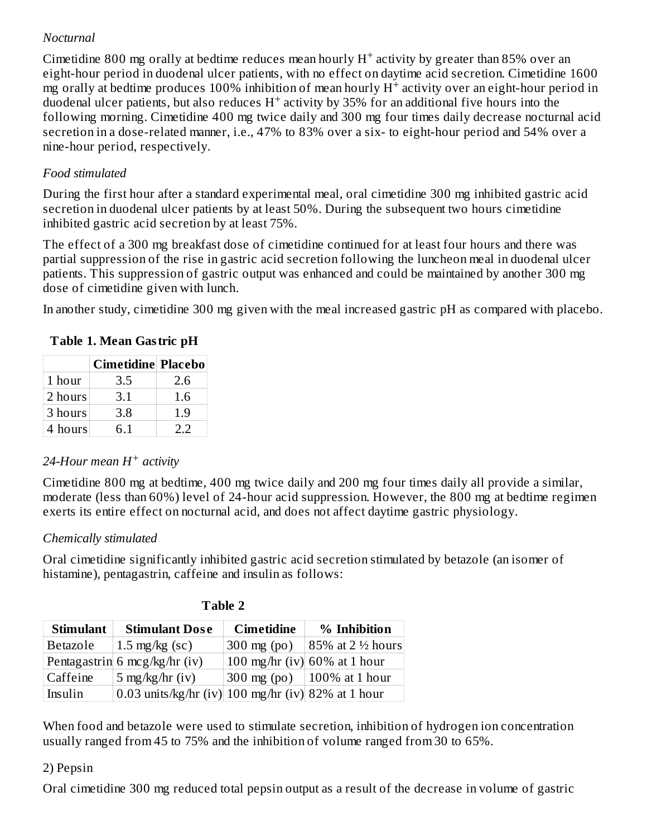## *Nocturnal*

Cimetidine 800 mg orally at bedtime reduces mean hourly  $H^+$  activity by greater than 85% over an eight-hour period in duodenal ulcer patients, with no effect on daytime acid secretion. Cimetidine 1600 mg orally at bedtime produces 100% inhibition of mean hourly  $\mathrm{H}^+$  activity over an eight-hour period in duodenal ulcer patients, but also reduces  $H^+$  activity by 35% for an additional five hours into the following morning. Cimetidine 400 mg twice daily and 300 mg four times daily decrease nocturnal acid secretion in a dose-related manner, i.e., 47% to 83% over a six- to eight-hour period and 54% over a nine-hour period, respectively.

## *Food stimulated*

During the first hour after a standard experimental meal, oral cimetidine 300 mg inhibited gastric acid secretion in duodenal ulcer patients by at least 50%. During the subsequent two hours cimetidine inhibited gastric acid secretion by at least 75%.

The effect of a 300 mg breakfast dose of cimetidine continued for at least four hours and there was partial suppression of the rise in gastric acid secretion following the luncheon meal in duodenal ulcer patients. This suppression of gastric output was enhanced and could be maintained by another 300 mg dose of cimetidine given with lunch.

In another study, cimetidine 300 mg given with the meal increased gastric pH as compared with placebo.

|         | <b>Cimetidine Placebo</b> |     |
|---------|---------------------------|-----|
| 1 hour  | 3.5                       | 2.6 |
| 2 hours | 3.1                       | 1.6 |
| 3 hours | 3.8                       | 1.9 |
| 4 hours | 6.1                       | ר ר |

#### **Table 1. Mean Gastric pH**

## *24-Hour mean H activity +*

Cimetidine 800 mg at bedtime, 400 mg twice daily and 200 mg four times daily all provide a similar, moderate (less than 60%) level of 24-hour acid suppression. However, the 800 mg at bedtime regimen exerts its entire effect on nocturnal acid, and does not affect daytime gastric physiology.

## *Chemically stimulated*

Oral cimetidine significantly inhibited gastric acid secretion stimulated by betazole (an isomer of histamine), pentagastrin, caffeine and insulin as follows:

| <b>Stimulant</b> | <b>Stimulant Dose</b>                                           | <b>Cimetidine</b>     | % Inhibition                    |
|------------------|-----------------------------------------------------------------|-----------------------|---------------------------------|
| Betazole         | $1.5 \text{ mg/kg}$ (sc)                                        | $300 \text{ mg}$ (po) | 85% at 2 ½ hours                |
|                  | Pentagastrin 6 mcg/kg/hr (iv)                                   |                       | 100 mg/hr (iv) $60\%$ at 1 hour |
| Caffeine         | 5 mg/kg/hr (iv)                                                 |                       | 300 mg (po)   100% at 1 hour    |
| Insulin          | 0.03 units/kg/hr (iv) $100 \text{ mg/hr}$ (iv) $82\%$ at 1 hour |                       |                                 |

When food and betazole were used to stimulate secretion, inhibition of hydrogen ion concentration usually ranged from 45 to 75% and the inhibition of volume ranged from 30 to 65%.

## 2) Pepsin

Oral cimetidine 300 mg reduced total pepsin output as a result of the decrease in volume of gastric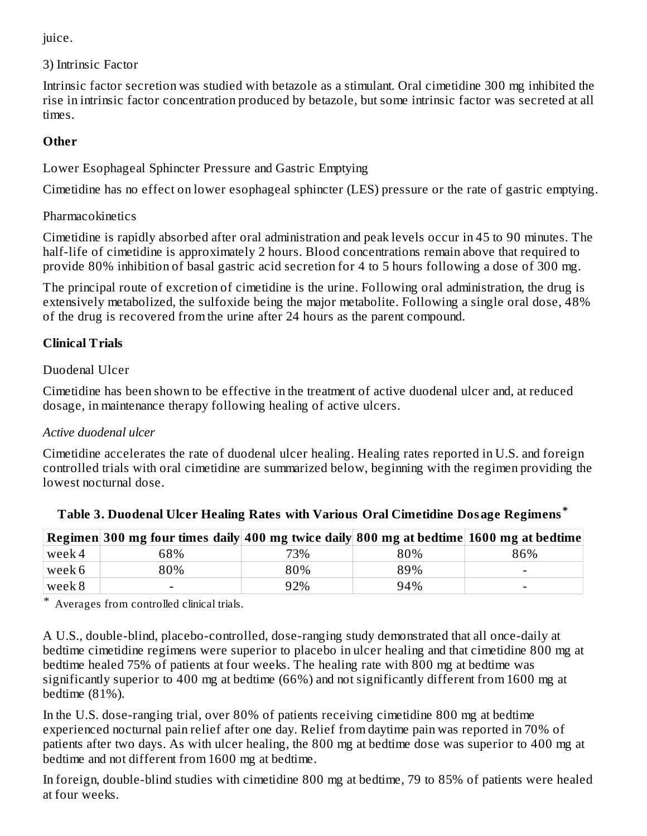juice.

3) Intrinsic Factor

Intrinsic factor secretion was studied with betazole as a stimulant. Oral cimetidine 300 mg inhibited the rise in intrinsic factor concentration produced by betazole, but some intrinsic factor was secreted at all times.

# **Other**

Lower Esophageal Sphincter Pressure and Gastric Emptying

Cimetidine has no effect on lower esophageal sphincter (LES) pressure or the rate of gastric emptying.

**Pharmacokinetics** 

Cimetidine is rapidly absorbed after oral administration and peak levels occur in 45 to 90 minutes. The half-life of cimetidine is approximately 2 hours. Blood concentrations remain above that required to provide 80% inhibition of basal gastric acid secretion for 4 to 5 hours following a dose of 300 mg.

The principal route of excretion of cimetidine is the urine. Following oral administration, the drug is extensively metabolized, the sulfoxide being the major metabolite. Following a single oral dose, 48% of the drug is recovered from the urine after 24 hours as the parent compound.

# **Clinical Trials**

## Duodenal Ulcer

Cimetidine has been shown to be effective in the treatment of active duodenal ulcer and, at reduced dosage, in maintenance therapy following healing of active ulcers.

## *Active duodenal ulcer*

Cimetidine accelerates the rate of duodenal ulcer healing. Healing rates reported in U.S. and foreign controlled trials with oral cimetidine are summarized below, beginning with the regimen providing the lowest nocturnal dose.

|        | Regimen 300 mg four times daily 400 mg twice daily 800 mg at bedtime 1600 mg at bedtime |     |     |                          |
|--------|-----------------------------------------------------------------------------------------|-----|-----|--------------------------|
| week 4 | 68%                                                                                     | 73% | 80% | 86%                      |
| week 6 | 80%                                                                                     | 80% | 89% | $\overline{\phantom{0}}$ |
| week 8 |                                                                                         | 92% | 94% | -                        |

\* Averages from controlled clinical trials.

A U.S., double-blind, placebo-controlled, dose-ranging study demonstrated that all once-daily at bedtime cimetidine regimens were superior to placebo in ulcer healing and that cimetidine 800 mg at bedtime healed 75% of patients at four weeks. The healing rate with 800 mg at bedtime was significantly superior to 400 mg at bedtime (66%) and not significantly different from 1600 mg at bedtime (81%).

In the U.S. dose-ranging trial, over 80% of patients receiving cimetidine 800 mg at bedtime experienced nocturnal pain relief after one day. Relief from daytime pain was reported in 70% of patients after two days. As with ulcer healing, the 800 mg at bedtime dose was superior to 400 mg at bedtime and not different from 1600 mg at bedtime.

In foreign, double-blind studies with cimetidine 800 mg at bedtime, 79 to 85% of patients were healed at four weeks.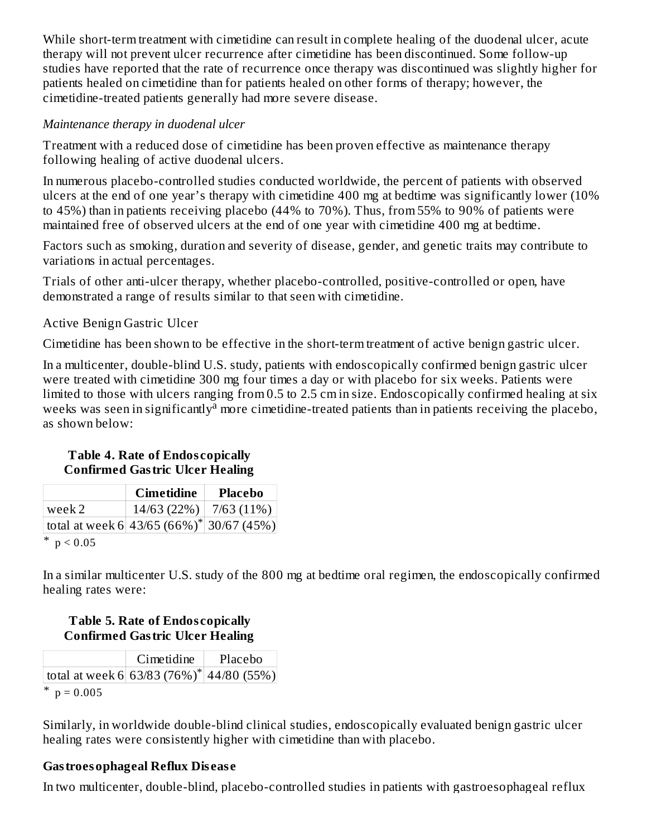While short-term treatment with cimetidine can result in complete healing of the duodenal ulcer, acute therapy will not prevent ulcer recurrence after cimetidine has been discontinued. Some follow-up studies have reported that the rate of recurrence once therapy was discontinued was slightly higher for patients healed on cimetidine than for patients healed on other forms of therapy; however, the cimetidine-treated patients generally had more severe disease.

#### *Maintenance therapy in duodenal ulcer*

Treatment with a reduced dose of cimetidine has been proven effective as maintenance therapy following healing of active duodenal ulcers.

In numerous placebo-controlled studies conducted worldwide, the percent of patients with observed ulcers at the end of one year's therapy with cimetidine 400 mg at bedtime was significantly lower (10% to 45%) than in patients receiving placebo (44% to 70%). Thus, from 55% to 90% of patients were maintained free of observed ulcers at the end of one year with cimetidine 400 mg at bedtime.

Factors such as smoking, duration and severity of disease, gender, and genetic traits may contribute to variations in actual percentages.

Trials of other anti-ulcer therapy, whether placebo-controlled, positive-controlled or open, have demonstrated a range of results similar to that seen with cimetidine.

#### Active Benign Gastric Ulcer

Cimetidine has been shown to be effective in the short-term treatment of active benign gastric ulcer.

In a multicenter, double-blind U.S. study, patients with endoscopically confirmed benign gastric ulcer were treated with cimetidine 300 mg four times a day or with placebo for six weeks. Patients were limited to those with ulcers ranging from 0.5 to 2.5 cm in size. Endoscopically confirmed healing at six weeks was seen in significantly<sup>a</sup> more cimetidine-treated patients than in patients receiving the placebo, as shown below:

#### **Table 4. Rate of Endos copically Confirmed Gastric Ulcer Healing**

|                                              | Cimetidine                 | <b>Placebo</b> |
|----------------------------------------------|----------------------------|----------------|
| l week 2-                                    | $14/63$ (22%)   7/63 (11%) |                |
| total at week 6 43/65 $(66\%)^*$ 30/67 (45%) |                            |                |
| ∗<br>$\cdot$ $\wedge$ $\sim$ $\sim$          |                            |                |

\*  $p < 0.05$ 

In a similar multicenter U.S. study of the 800 mg at bedtime oral regimen, the endoscopically confirmed healing rates were:

#### **Table 5. Rate of Endos copically Confirmed Gastric Ulcer Healing**

|                                                      | Cimetidine | Placebo |  |  |
|------------------------------------------------------|------------|---------|--|--|
| total at week 6 63/83 (76%) <sup>*</sup> 44/80 (55%) |            |         |  |  |
|                                                      |            |         |  |  |

\*  $p = 0.005$ 

Similarly, in worldwide double-blind clinical studies, endoscopically evaluated benign gastric ulcer healing rates were consistently higher with cimetidine than with placebo.

## **Gastroesophageal Reflux Dis eas e**

In two multicenter, double-blind, placebo-controlled studies in patients with gastroesophageal reflux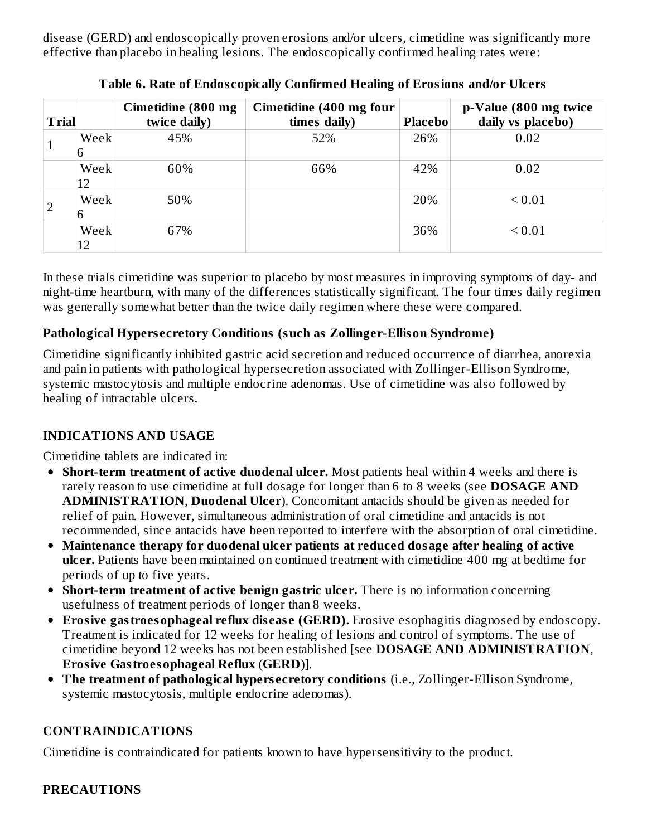disease (GERD) and endoscopically proven erosions and/or ulcers, cimetidine was significantly more effective than placebo in healing lesions. The endoscopically confirmed healing rates were:

| <b>Trial</b> |            | Cimetidine (800 mg<br>twice daily) | Cimetidine (400 mg four<br>times daily) | <b>Placebo</b> | p-Value (800 mg twice<br>daily vs placebo) |
|--------------|------------|------------------------------------|-----------------------------------------|----------------|--------------------------------------------|
| T            | Week       | 45%                                | 52%                                     | 26%            | 0.02                                       |
|              | Week<br>12 | 60%                                | 66%                                     | 42%            | 0.02                                       |
|              | Week       | 50%                                |                                         | 20%            | ${}_{0.01}$                                |
|              | Week<br>12 | 67%                                |                                         | 36%            | ${}_{0.01}$                                |

**Table 6. Rate of Endos copically Confirmed Healing of Erosions and/or Ulcers**

In these trials cimetidine was superior to placebo by most measures in improving symptoms of day- and night-time heartburn, with many of the differences statistically significant. The four times daily regimen was generally somewhat better than the twice daily regimen where these were compared.

## **Pathological Hypers ecretory Conditions (such as Zollinger-Ellison Syndrome)**

Cimetidine significantly inhibited gastric acid secretion and reduced occurrence of diarrhea, anorexia and pain in patients with pathological hypersecretion associated with Zollinger-Ellison Syndrome, systemic mastocytosis and multiple endocrine adenomas. Use of cimetidine was also followed by healing of intractable ulcers.

## **INDICATIONS AND USAGE**

Cimetidine tablets are indicated in:

- **Short-term treatment of active duodenal ulcer.** Most patients heal within 4 weeks and there is rarely reason to use cimetidine at full dosage for longer than 6 to 8 weeks (see **DOSAGE AND ADMINISTRATION**, **Duodenal Ulcer**). Concomitant antacids should be given as needed for relief of pain. However, simultaneous administration of oral cimetidine and antacids is not recommended, since antacids have been reported to interfere with the absorption of oral cimetidine.
- **Maintenance therapy for duodenal ulcer patients at reduced dosage after healing of active ulcer.** Patients have been maintained on continued treatment with cimetidine 400 mg at bedtime for periods of up to five years.
- **Short-term treatment of active benign gastric ulcer.** There is no information concerning usefulness of treatment periods of longer than 8 weeks.
- **Erosive gastroesophageal reflux dis eas e (GERD).** Erosive esophagitis diagnosed by endoscopy. Treatment is indicated for 12 weeks for healing of lesions and control of symptoms. The use of cimetidine beyond 12 weeks has not been established [see **DOSAGE AND ADMINISTRATION**, **Erosive Gastroesophageal Reflux** (**GERD**)].
- **The treatment of pathological hypers ecretory conditions** (i.e., Zollinger-Ellison Syndrome, systemic mastocytosis, multiple endocrine adenomas).

# **CONTRAINDICATIONS**

Cimetidine is contraindicated for patients known to have hypersensitivity to the product.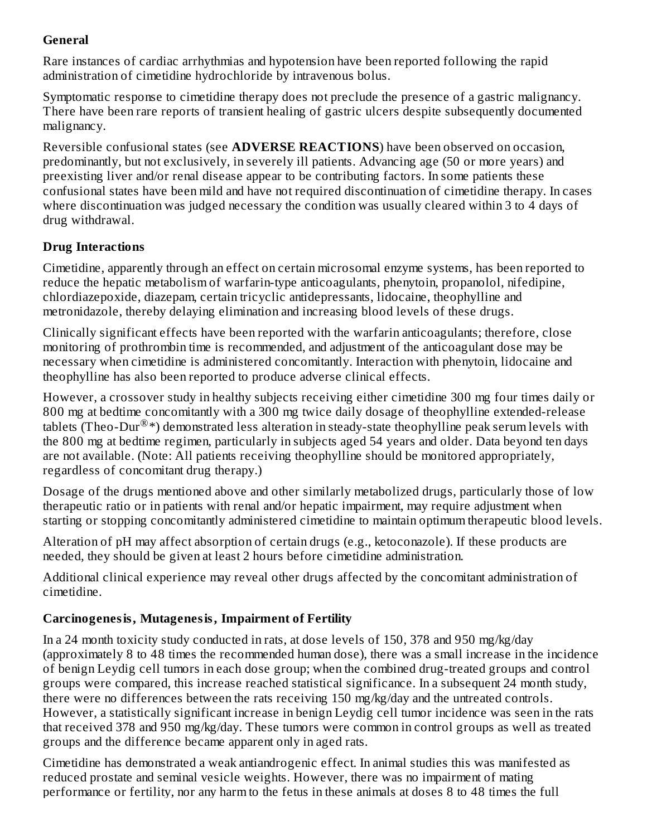## **General**

Rare instances of cardiac arrhythmias and hypotension have been reported following the rapid administration of cimetidine hydrochloride by intravenous bolus.

Symptomatic response to cimetidine therapy does not preclude the presence of a gastric malignancy. There have been rare reports of transient healing of gastric ulcers despite subsequently documented malignancy.

Reversible confusional states (see **ADVERSE REACTIONS**) have been observed on occasion, predominantly, but not exclusively, in severely ill patients. Advancing age (50 or more years) and preexisting liver and/or renal disease appear to be contributing factors. In some patients these confusional states have been mild and have not required discontinuation of cimetidine therapy. In cases where discontinuation was judged necessary the condition was usually cleared within 3 to 4 days of drug withdrawal.

## **Drug Interactions**

Cimetidine, apparently through an effect on certain microsomal enzyme systems, has been reported to reduce the hepatic metabolism of warfarin-type anticoagulants, phenytoin, propanolol, nifedipine, chlordiazepoxide, diazepam, certain tricyclic antidepressants, lidocaine, theophylline and metronidazole, thereby delaying elimination and increasing blood levels of these drugs.

Clinically significant effects have been reported with the warfarin anticoagulants; therefore, close monitoring of prothrombin time is recommended, and adjustment of the anticoagulant dose may be necessary when cimetidine is administered concomitantly. Interaction with phenytoin, lidocaine and theophylline has also been reported to produce adverse clinical effects.

However, a crossover study in healthy subjects receiving either cimetidine 300 mg four times daily or 800 mg at bedtime concomitantly with a 300 mg twice daily dosage of theophylline extended-release tablets (Theo-Dur $^{\circledR}*$ ) demonstrated less alteration in steady-state theophylline peak serum levels with the 800 mg at bedtime regimen, particularly in subjects aged 54 years and older. Data beyond ten days are not available. (Note: All patients receiving theophylline should be monitored appropriately, regardless of concomitant drug therapy.)

Dosage of the drugs mentioned above and other similarly metabolized drugs, particularly those of low therapeutic ratio or in patients with renal and/or hepatic impairment, may require adjustment when starting or stopping concomitantly administered cimetidine to maintain optimum therapeutic blood levels.

Alteration of pH may affect absorption of certain drugs (e.g., ketoconazole). If these products are needed, they should be given at least 2 hours before cimetidine administration.

Additional clinical experience may reveal other drugs affected by the concomitant administration of cimetidine.

## **Carcinogenesis, Mutagenesis, Impairment of Fertility**

In a 24 month toxicity study conducted in rats, at dose levels of 150, 378 and 950 mg/kg/day (approximately 8 to 48 times the recommended human dose), there was a small increase in the incidence of benign Leydig cell tumors in each dose group; when the combined drug-treated groups and control groups were compared, this increase reached statistical significance. In a subsequent 24 month study, there were no differences between the rats receiving 150 mg/kg/day and the untreated controls. However, a statistically significant increase in benign Leydig cell tumor incidence was seen in the rats that received 378 and 950 mg/kg/day. These tumors were common in control groups as well as treated groups and the difference became apparent only in aged rats.

Cimetidine has demonstrated a weak antiandrogenic effect. In animal studies this was manifested as reduced prostate and seminal vesicle weights. However, there was no impairment of mating performance or fertility, nor any harm to the fetus in these animals at doses 8 to 48 times the full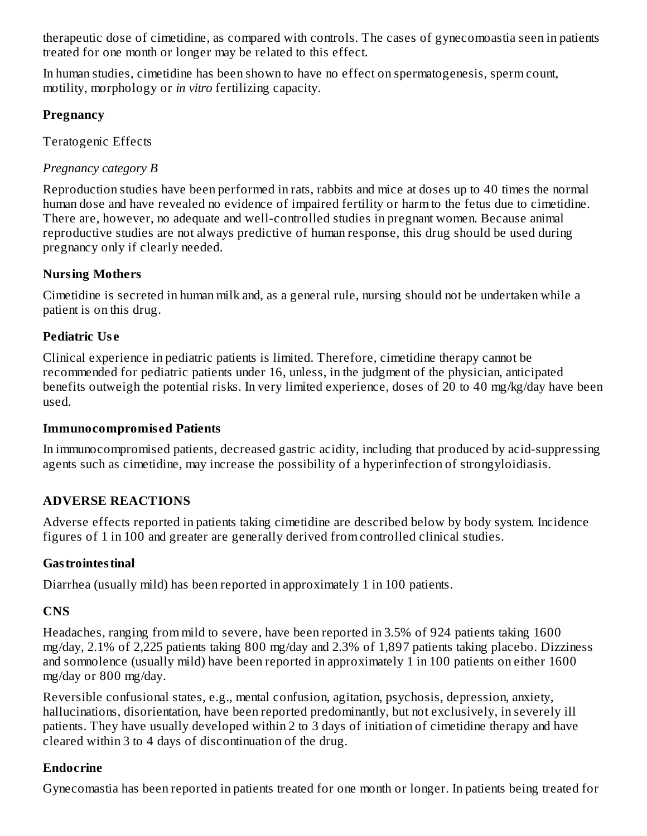therapeutic dose of cimetidine, as compared with controls. The cases of gynecomoastia seen in patients treated for one month or longer may be related to this effect.

In human studies, cimetidine has been shown to have no effect on spermatogenesis, sperm count, motility, morphology or *in vitro* fertilizing capacity.

#### **Pregnancy**

Teratogenic Effects

*Pregnancy category B*

Reproduction studies have been performed in rats, rabbits and mice at doses up to 40 times the normal human dose and have revealed no evidence of impaired fertility or harm to the fetus due to cimetidine. There are, however, no adequate and well-controlled studies in pregnant women. Because animal reproductive studies are not always predictive of human response, this drug should be used during pregnancy only if clearly needed.

## **Nursing Mothers**

Cimetidine is secreted in human milk and, as a general rule, nursing should not be undertaken while a patient is on this drug.

## **Pediatric Us e**

Clinical experience in pediatric patients is limited. Therefore, cimetidine therapy cannot be recommended for pediatric patients under 16, unless, in the judgment of the physician, anticipated benefits outweigh the potential risks. In very limited experience, doses of 20 to 40 mg/kg/day have been used.

## **Immunocompromis ed Patients**

In immunocompromised patients, decreased gastric acidity, including that produced by acid-suppressing agents such as cimetidine, may increase the possibility of a hyperinfection of strongyloidiasis.

## **ADVERSE REACTIONS**

Adverse effects reported in patients taking cimetidine are described below by body system. Incidence figures of 1 in 100 and greater are generally derived from controlled clinical studies.

## **Gastrointestinal**

Diarrhea (usually mild) has been reported in approximately 1 in 100 patients.

# **CNS**

Headaches, ranging from mild to severe, have been reported in 3.5% of 924 patients taking 1600 mg/day, 2.1% of 2,225 patients taking 800 mg/day and 2.3% of 1,897 patients taking placebo. Dizziness and somnolence (usually mild) have been reported in approximately 1 in 100 patients on either 1600 mg/day or 800 mg/day.

Reversible confusional states, e.g., mental confusion, agitation, psychosis, depression, anxiety, hallucinations, disorientation, have been reported predominantly, but not exclusively, in severely ill patients. They have usually developed within 2 to 3 days of initiation of cimetidine therapy and have cleared within 3 to 4 days of discontinuation of the drug.

## **Endocrine**

Gynecomastia has been reported in patients treated for one month or longer. In patients being treated for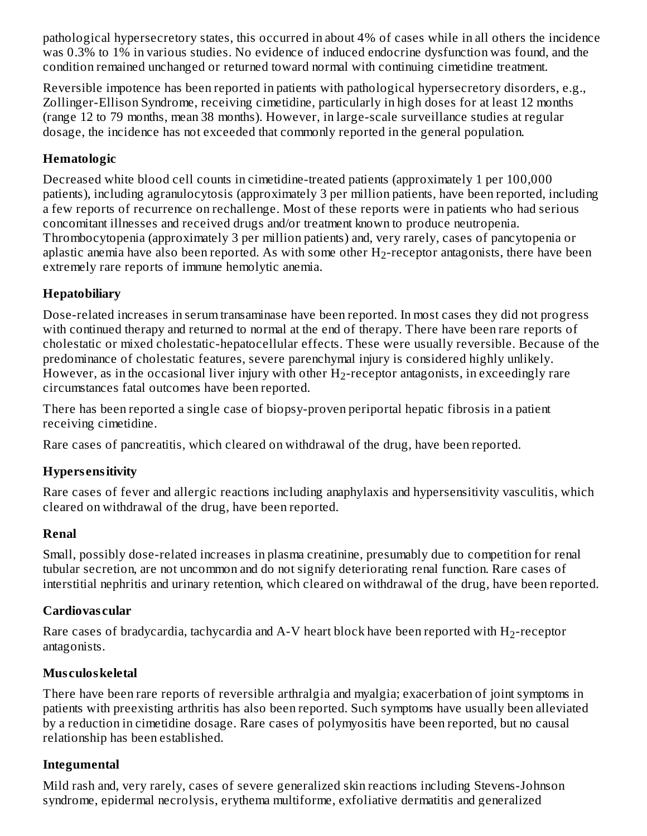pathological hypersecretory states, this occurred in about 4% of cases while in all others the incidence was 0.3% to 1% in various studies. No evidence of induced endocrine dysfunction was found, and the condition remained unchanged or returned toward normal with continuing cimetidine treatment.

Reversible impotence has been reported in patients with pathological hypersecretory disorders, e.g., Zollinger-Ellison Syndrome, receiving cimetidine, particularly in high doses for at least 12 months (range 12 to 79 months, mean 38 months). However, in large-scale surveillance studies at regular dosage, the incidence has not exceeded that commonly reported in the general population.

## **Hematologic**

Decreased white blood cell counts in cimetidine-treated patients (approximately 1 per 100,000 patients), including agranulocytosis (approximately 3 per million patients, have been reported, including a few reports of recurrence on rechallenge. Most of these reports were in patients who had serious concomitant illnesses and received drugs and/or treatment known to produce neutropenia. Thrombocytopenia (approximately 3 per million patients) and, very rarely, cases of pancytopenia or aplastic anemia have also been reported. As with some other  $\rm H_2$ -receptor antagonists, there have been extremely rare reports of immune hemolytic anemia.

## **Hepatobiliary**

Dose-related increases in serum transaminase have been reported. In most cases they did not progress with continued therapy and returned to normal at the end of therapy. There have been rare reports of cholestatic or mixed cholestatic-hepatocellular effects. These were usually reversible. Because of the predominance of cholestatic features, severe parenchymal injury is considered highly unlikely. However, as in the occasional liver injury with other  $\rm H_2$ -receptor antagonists, in exceedingly rare circumstances fatal outcomes have been reported.

There has been reported a single case of biopsy-proven periportal hepatic fibrosis in a patient receiving cimetidine.

Rare cases of pancreatitis, which cleared on withdrawal of the drug, have been reported.

## **Hypers ensitivity**

Rare cases of fever and allergic reactions including anaphylaxis and hypersensitivity vasculitis, which cleared on withdrawal of the drug, have been reported.

## **Renal**

Small, possibly dose-related increases in plasma creatinine, presumably due to competition for renal tubular secretion, are not uncommon and do not signify deteriorating renal function. Rare cases of interstitial nephritis and urinary retention, which cleared on withdrawal of the drug, have been reported.

## **Cardiovas cular**

Rare cases of bradycardia, tachycardia and A-V heart block have been reported with  $\rm H_2$ -receptor antagonists.

## **Mus culoskeletal**

There have been rare reports of reversible arthralgia and myalgia; exacerbation of joint symptoms in patients with preexisting arthritis has also been reported. Such symptoms have usually been alleviated by a reduction in cimetidine dosage. Rare cases of polymyositis have been reported, but no causal relationship has been established.

## **Integumental**

Mild rash and, very rarely, cases of severe generalized skin reactions including Stevens-Johnson syndrome, epidermal necrolysis, erythema multiforme, exfoliative dermatitis and generalized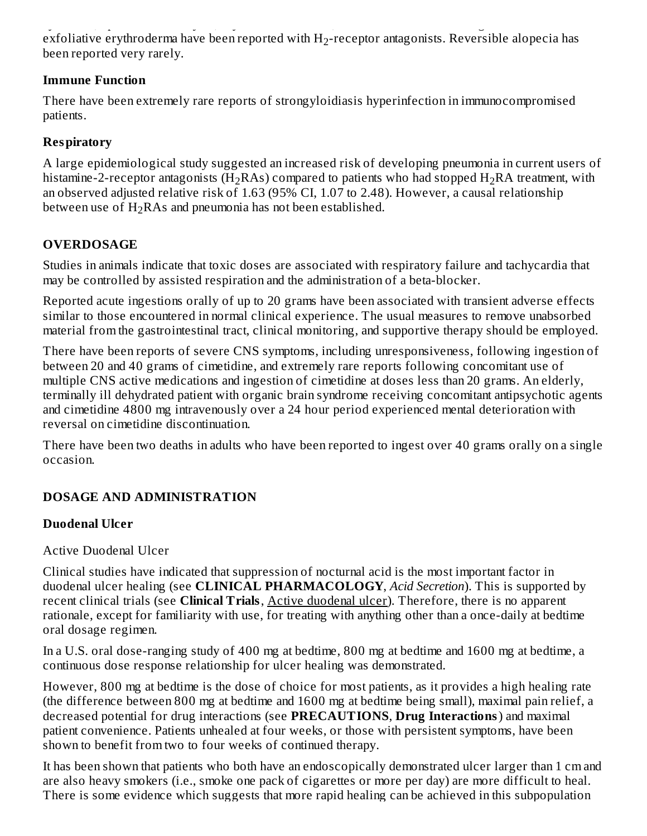syndrome, epidermal necrolysis, erythema multiforme, exfoliative dermatitis and generalized exfoliative erythroderma have been reported with  $\rm H_2$ -receptor antagonists. Reversible alopecia has been reported very rarely.

#### **Immune Function**

There have been extremely rare reports of strongyloidiasis hyperinfection in immunocompromised patients.

## **Respiratory**

A large epidemiological study suggested an increased risk of developing pneumonia in current users of histamine-2-receptor antagonists (H<sub>2</sub>RAs) compared to patients who had stopped H<sub>2</sub>RA treatment, with an observed adjusted relative risk of 1.63 (95% CI, 1.07 to 2.48). However, a causal relationship between use of  $\rm H_2RAs$  and pneumonia has not been established.

## **OVERDOSAGE**

Studies in animals indicate that toxic doses are associated with respiratory failure and tachycardia that may be controlled by assisted respiration and the administration of a beta-blocker.

Reported acute ingestions orally of up to 20 grams have been associated with transient adverse effects similar to those encountered in normal clinical experience. The usual measures to remove unabsorbed material from the gastrointestinal tract, clinical monitoring, and supportive therapy should be employed.

There have been reports of severe CNS symptoms, including unresponsiveness, following ingestion of between 20 and 40 grams of cimetidine, and extremely rare reports following concomitant use of multiple CNS active medications and ingestion of cimetidine at doses less than 20 grams. An elderly, terminally ill dehydrated patient with organic brain syndrome receiving concomitant antipsychotic agents and cimetidine 4800 mg intravenously over a 24 hour period experienced mental deterioration with reversal on cimetidine discontinuation.

There have been two deaths in adults who have been reported to ingest over 40 grams orally on a single occasion.

## **DOSAGE AND ADMINISTRATION**

#### **Duodenal Ulcer**

#### Active Duodenal Ulcer

Clinical studies have indicated that suppression of nocturnal acid is the most important factor in duodenal ulcer healing (see **CLINICAL PHARMACOLOGY**, *Acid Secretion*). This is supported by recent clinical trials (see **Clinical Trials**, Active duodenal ulcer). Therefore, there is no apparent rationale, except for familiarity with use, for treating with anything other than a once-daily at bedtime oral dosage regimen.

In a U.S. oral dose-ranging study of 400 mg at bedtime, 800 mg at bedtime and 1600 mg at bedtime, a continuous dose response relationship for ulcer healing was demonstrated.

However, 800 mg at bedtime is the dose of choice for most patients, as it provides a high healing rate (the difference between 800 mg at bedtime and 1600 mg at bedtime being small), maximal pain relief, a decreased potential for drug interactions (see **PRECAUTIONS**, **Drug Interactions**) and maximal patient convenience. Patients unhealed at four weeks, or those with persistent symptoms, have been shown to benefit from two to four weeks of continued therapy.

It has been shown that patients who both have an endoscopically demonstrated ulcer larger than 1 cm and are also heavy smokers (i.e., smoke one pack of cigarettes or more per day) are more difficult to heal. There is some evidence which suggests that more rapid healing can be achieved in this subpopulation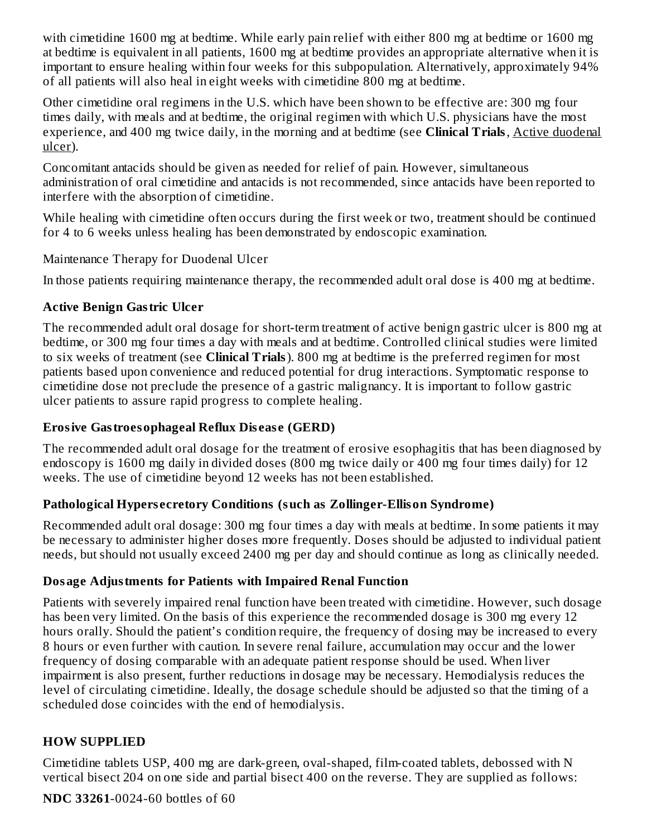with cimetidine 1600 mg at bedtime. While early pain relief with either 800 mg at bedtime or 1600 mg at bedtime is equivalent in all patients, 1600 mg at bedtime provides an appropriate alternative when it is important to ensure healing within four weeks for this subpopulation. Alternatively, approximately 94% of all patients will also heal in eight weeks with cimetidine 800 mg at bedtime.

Other cimetidine oral regimens in the U.S. which have been shown to be effective are: 300 mg four times daily, with meals and at bedtime, the original regimen with which U.S. physicians have the most experience, and 400 mg twice daily, in the morning and at bedtime (see **Clinical Trials**, Active duodenal ulcer).

Concomitant antacids should be given as needed for relief of pain. However, simultaneous administration of oral cimetidine and antacids is not recommended, since antacids have been reported to interfere with the absorption of cimetidine.

While healing with cimetidine often occurs during the first week or two, treatment should be continued for 4 to 6 weeks unless healing has been demonstrated by endoscopic examination.

Maintenance Therapy for Duodenal Ulcer

In those patients requiring maintenance therapy, the recommended adult oral dose is 400 mg at bedtime.

## **Active Benign Gastric Ulcer**

The recommended adult oral dosage for short-term treatment of active benign gastric ulcer is 800 mg at bedtime, or 300 mg four times a day with meals and at bedtime. Controlled clinical studies were limited to six weeks of treatment (see **Clinical Trials**). 800 mg at bedtime is the preferred regimen for most patients based upon convenience and reduced potential for drug interactions. Symptomatic response to cimetidine dose not preclude the presence of a gastric malignancy. It is important to follow gastric ulcer patients to assure rapid progress to complete healing.

## **Erosive Gastroesophageal Reflux Dis eas e (GERD)**

The recommended adult oral dosage for the treatment of erosive esophagitis that has been diagnosed by endoscopy is 1600 mg daily in divided doses (800 mg twice daily or 400 mg four times daily) for 12 weeks. The use of cimetidine beyond 12 weeks has not been established.

## **Pathological Hypers ecretory Conditions (such as Zollinger-Ellison Syndrome)**

Recommended adult oral dosage: 300 mg four times a day with meals at bedtime. In some patients it may be necessary to administer higher doses more frequently. Doses should be adjusted to individual patient needs, but should not usually exceed 2400 mg per day and should continue as long as clinically needed.

## **Dosage Adjustments for Patients with Impaired Renal Function**

Patients with severely impaired renal function have been treated with cimetidine. However, such dosage has been very limited. On the basis of this experience the recommended dosage is 300 mg every 12 hours orally. Should the patient's condition require, the frequency of dosing may be increased to every 8 hours or even further with caution. In severe renal failure, accumulation may occur and the lower frequency of dosing comparable with an adequate patient response should be used. When liver impairment is also present, further reductions in dosage may be necessary. Hemodialysis reduces the level of circulating cimetidine. Ideally, the dosage schedule should be adjusted so that the timing of a scheduled dose coincides with the end of hemodialysis.

## **HOW SUPPLIED**

Cimetidine tablets USP, 400 mg are dark-green, oval-shaped, film-coated tablets, debossed with N vertical bisect 204 on one side and partial bisect 400 on the reverse. They are supplied as follows:

**NDC 33261**-0024-60 bottles of 60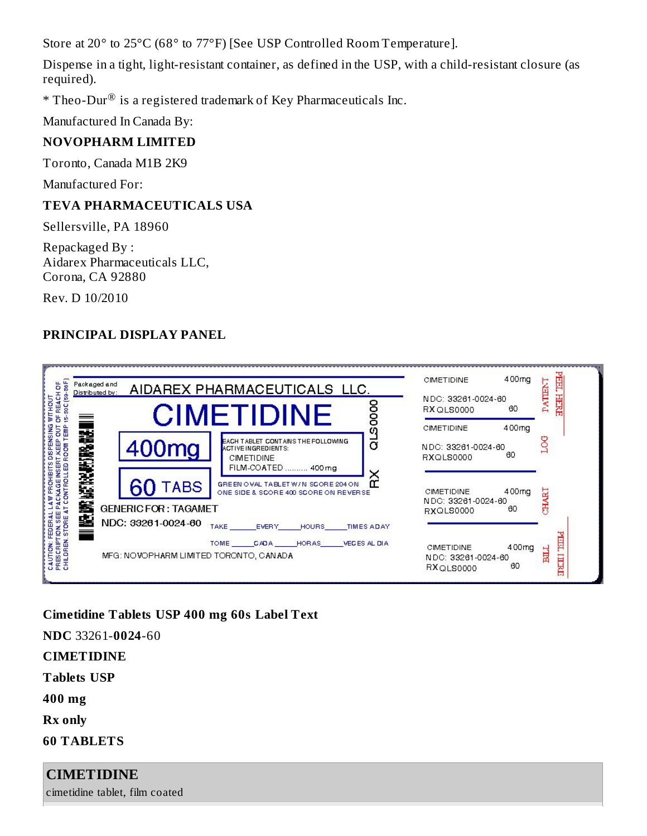Store at 20° to 25°C (68° to 77°F) [See USP Controlled Room Temperature].

Dispense in a tight, light-resistant container, as defined in the USP, with a child-resistant closure (as required).

 $*$  Theo-Dur $^{\circledR}$  is a registered trademark of Key Pharmaceuticals Inc.

Manufactured In Canada By:

## **NOVOPHARM LIMITED**

Toronto, Canada M1B 2K9

Manufactured For:

## **TEVA PHARMACEUTICALS USA**

Sellersville, PA 18960

Repackaged By : Aidarex Pharmaceuticals LLC, Corona, CA 92880

Rev. D 10/2010

## **PRINCIPAL DISPLAY PANEL**

| 38F<br>Packaged and<br>Distributed by:                                                      |                                            | AIDAREX PHARMACEUTICALS LLC.                                                                               | <b>CIMETIDINE</b>                                    | 400mg       | <b>PEEL</b><br>H                     |
|---------------------------------------------------------------------------------------------|--------------------------------------------|------------------------------------------------------------------------------------------------------------|------------------------------------------------------|-------------|--------------------------------------|
| REACH OF<br>8<br>$\frac{8}{3}$<br>ă                                                         |                                            | 880<br>CIMETIDINE                                                                                          | NDC: 33261-0024-60<br>RX QLS0000                     | 60          | PATEM<br>HERE                        |
| 펻<br>ā                                                                                      |                                            | ω                                                                                                          | <b>CIMETIDINE</b>                                    | 400mg       |                                      |
| CONTROLLED ROOM TEMP<br><b>KEEP</b>                                                         | 400 <sub>mg</sub>                          | ಠ<br>EACH TABLET CONTAINS THE FOLLOWING<br>ACTIVE INGREDIENTS:<br><b>CIMETIDINE</b><br>FILM-COATED  400 mg | NDC: 33261-0024-60<br>RXQLS0000                      | 60          |                                      |
| NE NO WE KE PETRO NE HI<br><b>CKAGE INSERT</b>                                              | <b>TABS</b><br><b>GENERIC FOR: TAGAMET</b> | ×<br>GREEN OVAL TABLET W/N SCORE 204 ON<br>ONE SIDE & SCORE 400 SCORE ON REVERSE                           | <b>CIMETIDINE</b><br>NDC: 33261-0024-60              | 400mg<br>60 | ե                                    |
| STORE                                                                                       | NDC: 33261-0024-60                         | <b>TAKE</b><br><b>HOURS</b><br><b>TIMES ADAY</b>                                                           | RXQLS0000                                            |             |                                      |
| <b>FEDERAL LAT</b><br>TION SEE PAI<br>CAUTION: FEDER<br>PRESCRIPTION. \$<br>CHILDREN. \$TOP | MFG: NOVOPHARM LIMITED TORONTO, CANADA     | <b>EVERY</b><br><b>TOME</b><br><b>HORAS</b><br><b>VECES AL DIA</b><br><b>CADA</b>                          | <b>CIMETIDINE</b><br>NDC: 33261-0024-60<br>RXQLS0000 | 400mg<br>60 | <b>THE P</b><br><b>FILE</b><br>TREET |

**Cimetidine Tablets USP 400 mg 60s Label Text**

**NDC** 33261-**0024**-60

**CIMETIDINE**

**Tablets USP**

**400 mg**

**Rx only**

**60 TABLETS**

# **CIMETIDINE**

cimetidine tablet, film coated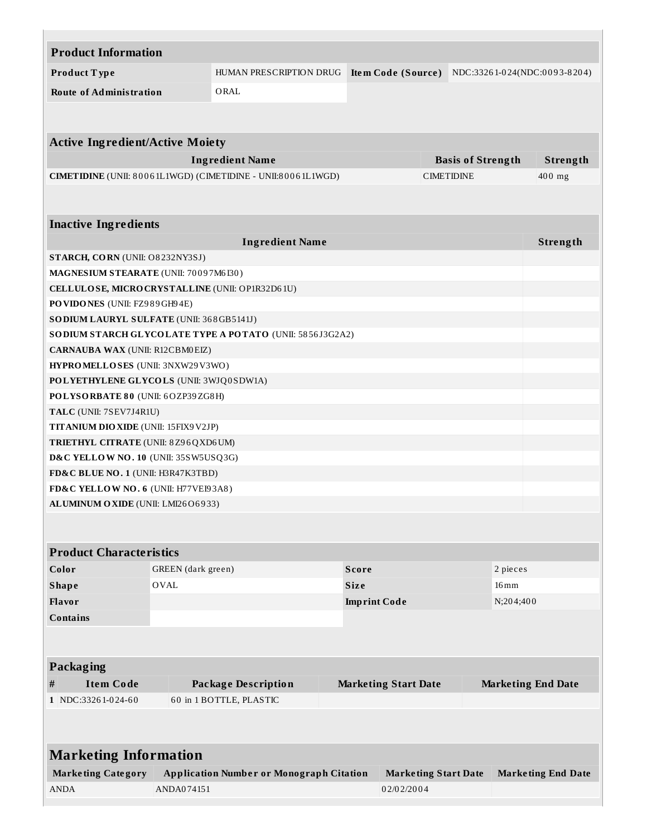| <b>Product Information</b>                      |                    |                                                              |              |                             |                          |                    |                              |  |
|-------------------------------------------------|--------------------|--------------------------------------------------------------|--------------|-----------------------------|--------------------------|--------------------|------------------------------|--|
| Product Type                                    |                    | HUMAN PRESCRIPTION DRUG                                      |              | Item Code (Source)          |                          |                    | NDC:33261-024(NDC:0093-8204) |  |
| <b>Route of Administration</b>                  |                    | ORAL                                                         |              |                             |                          |                    |                              |  |
|                                                 |                    |                                                              |              |                             |                          |                    |                              |  |
|                                                 |                    |                                                              |              |                             |                          |                    |                              |  |
| <b>Active Ingredient/Active Moiety</b>          |                    |                                                              |              |                             |                          |                    |                              |  |
|                                                 |                    | <b>Ingredient Name</b>                                       |              |                             | <b>Basis of Strength</b> |                    | Strength                     |  |
|                                                 |                    | CIMETIDINE (UNII: 80061L1WGD) (CIMETIDINE - UNII:80061L1WGD) |              |                             | <b>CIMETIDINE</b>        |                    | $400$ mg                     |  |
|                                                 |                    |                                                              |              |                             |                          |                    |                              |  |
|                                                 |                    |                                                              |              |                             |                          |                    |                              |  |
| <b>Inactive Ingredients</b>                     |                    |                                                              |              |                             |                          |                    |                              |  |
|                                                 |                    | <b>Ingredient Name</b>                                       |              |                             |                          |                    | Strength                     |  |
| STARCH, CORN (UNII: O8232NY3SJ)                 |                    |                                                              |              |                             |                          |                    |                              |  |
| MAGNESIUM STEARATE (UNII: 70097M6I30)           |                    |                                                              |              |                             |                          |                    |                              |  |
| CELLULOSE, MICRO CRYSTALLINE (UNII: OP1R32D61U) |                    |                                                              |              |                             |                          |                    |                              |  |
| PO VIDONES (UNII: FZ989GH94E)                   |                    |                                                              |              |                             |                          |                    |                              |  |
| SO DIUM LAURYL SULFATE (UNII: 368GB5141J)       |                    |                                                              |              |                             |                          |                    |                              |  |
|                                                 |                    | SODIUM STARCH GLYCOLATE TYPE A POTATO (UNII: 5856J3G2A2)     |              |                             |                          |                    |                              |  |
| <b>CARNAUBA WAX (UNII: R12CBM0EIZ)</b>          |                    |                                                              |              |                             |                          |                    |                              |  |
| HYPROMELLOSES (UNII: 3NXW29V3WO)                |                    |                                                              |              |                             |                          |                    |                              |  |
| POLYETHYLENE GLYCOLS (UNII: 3WJQ0SDW1A)         |                    |                                                              |              |                             |                          |                    |                              |  |
| POLYSORBATE 80 (UNII: 6OZP39ZG8H)               |                    |                                                              |              |                             |                          |                    |                              |  |
| TALC (UNII: 7SEV7J4R1U)                         |                    |                                                              |              |                             |                          |                    |                              |  |
| TITANIUM DIO XIDE (UNII: 15FIX9V2JP)            |                    |                                                              |              |                             |                          |                    |                              |  |
| TRIETHYL CITRATE (UNII: 8Z96QXD6UM)             |                    |                                                              |              |                             |                          |                    |                              |  |
| D&C YELLOW NO. 10 (UNII: 35SW5USQ3G)            |                    |                                                              |              |                             |                          |                    |                              |  |
| FD&C BLUE NO. 1 (UNII: H3R47K3TBD)              |                    |                                                              |              |                             |                          |                    |                              |  |
| FD&C YELLOW NO. 6 (UNII: H77VEI93A8)            |                    |                                                              |              |                             |                          |                    |                              |  |
| ALUMINUM OXIDE (UNII: LMI26O6933)               |                    |                                                              |              |                             |                          |                    |                              |  |
|                                                 |                    |                                                              |              |                             |                          |                    |                              |  |
|                                                 |                    |                                                              |              |                             |                          |                    |                              |  |
| <b>Product Characteristics</b>                  |                    |                                                              |              |                             |                          |                    |                              |  |
| Color                                           | GREEN (dark green) |                                                              | <b>Score</b> |                             |                          | 2 pieces           |                              |  |
| <b>Shape</b>                                    | <b>OVAL</b>        |                                                              | Size         |                             |                          | $16 \,\mathrm{mm}$ |                              |  |
| Flavor                                          |                    |                                                              |              | <b>Imprint Code</b>         |                          | N;204;400          |                              |  |
| <b>Contains</b>                                 |                    |                                                              |              |                             |                          |                    |                              |  |
|                                                 |                    |                                                              |              |                             |                          |                    |                              |  |
|                                                 |                    |                                                              |              |                             |                          |                    |                              |  |
| <b>Packaging</b>                                |                    |                                                              |              |                             |                          |                    |                              |  |
| <b>Item Code</b><br>$\#$                        |                    | <b>Package Description</b>                                   |              | <b>Marketing Start Date</b> |                          |                    | <b>Marketing End Date</b>    |  |
| 1 NDC:33261-024-60                              |                    | 60 in 1 BOTTLE, PLASTIC                                      |              |                             |                          |                    |                              |  |
|                                                 |                    |                                                              |              |                             |                          |                    |                              |  |
|                                                 |                    |                                                              |              |                             |                          |                    |                              |  |
| <b>Marketing Information</b>                    |                    |                                                              |              |                             |                          |                    |                              |  |
|                                                 |                    |                                                              |              |                             |                          |                    |                              |  |
| <b>Marketing Category</b>                       |                    | <b>Application Number or Monograph Citation</b>              |              | <b>Marketing Start Date</b> |                          |                    | <b>Marketing End Date</b>    |  |
| <b>ANDA</b>                                     | ANDA074151         |                                                              |              | 02/02/2004                  |                          |                    |                              |  |